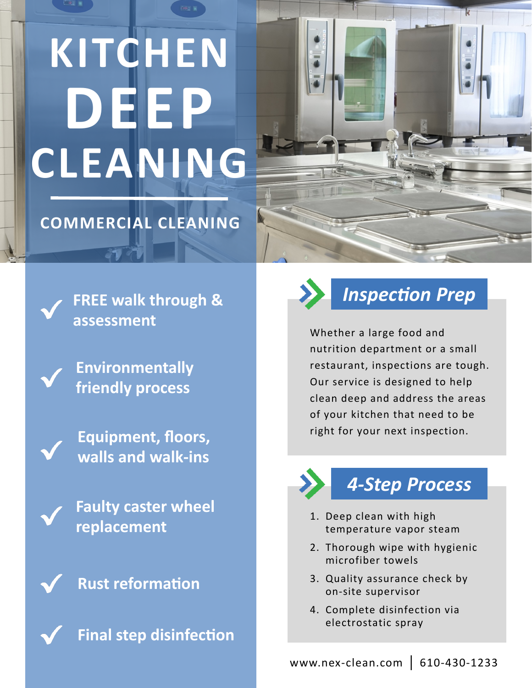# **KITCHEN DEEP CLEANING**

#### **COMMERCIAL CLEANING**

**FREE walk through & assessment**

**Environmentally friendly process**

**Equipment, floors, walls and walk-ins**

**Faulty caster wheel replacement**

**Rust reformation**



**Final step disinfection**



*Inspection Prep*

Whether a large food and nutrition department or a small restaurant, inspections are tough. Our service is designed to help clean deep and address the areas of your kitchen that need to be right for your next inspection.

### *4-Step Process*

- 1. Deep clean with high temperature vapor steam
- 2. Thorough wipe with hygienic microfiber towels
- 3. Quality assurance check by on-site supervisor
- 4. Complete disinfection via electrostatic spray